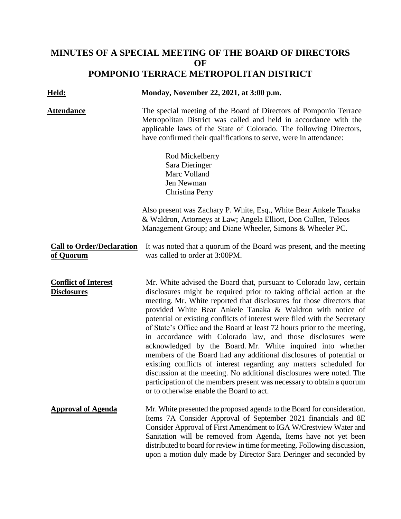## **MINUTES OF A SPECIAL MEETING OF THE BOARD OF DIRECTORS OF POMPONIO TERRACE METROPOLITAN DISTRICT**

| <u> Held:</u>                                     | Monday, November 22, 2021, at 3:00 p.m.                                                                                                                                                                                                                                                                                                                                                                                                                                                                                                                                                                                                                                                                                                                                                                                                                                                                           |
|---------------------------------------------------|-------------------------------------------------------------------------------------------------------------------------------------------------------------------------------------------------------------------------------------------------------------------------------------------------------------------------------------------------------------------------------------------------------------------------------------------------------------------------------------------------------------------------------------------------------------------------------------------------------------------------------------------------------------------------------------------------------------------------------------------------------------------------------------------------------------------------------------------------------------------------------------------------------------------|
| <u>Attendance</u>                                 | The special meeting of the Board of Directors of Pomponio Terrace<br>Metropolitan District was called and held in accordance with the<br>applicable laws of the State of Colorado. The following Directors,<br>have confirmed their qualifications to serve, were in attendance:                                                                                                                                                                                                                                                                                                                                                                                                                                                                                                                                                                                                                                  |
|                                                   | Rod Mickelberry<br>Sara Dieringer<br>Marc Volland<br>Jen Newman<br>Christina Perry                                                                                                                                                                                                                                                                                                                                                                                                                                                                                                                                                                                                                                                                                                                                                                                                                                |
|                                                   | Also present was Zachary P. White, Esq., White Bear Ankele Tanaka<br>& Waldron, Attorneys at Law; Angela Elliott, Don Cullen, Teleos<br>Management Group; and Diane Wheeler, Simons & Wheeler PC.                                                                                                                                                                                                                                                                                                                                                                                                                                                                                                                                                                                                                                                                                                                 |
| <b>Call to Order/Declaration</b><br>of Quorum     | It was noted that a quorum of the Board was present, and the meeting<br>was called to order at 3:00PM.                                                                                                                                                                                                                                                                                                                                                                                                                                                                                                                                                                                                                                                                                                                                                                                                            |
| <b>Conflict of Interest</b><br><b>Disclosures</b> | Mr. White advised the Board that, pursuant to Colorado law, certain<br>disclosures might be required prior to taking official action at the<br>meeting. Mr. White reported that disclosures for those directors that<br>provided White Bear Ankele Tanaka & Waldron with notice of<br>potential or existing conflicts of interest were filed with the Secretary<br>of State's Office and the Board at least 72 hours prior to the meeting,<br>in accordance with Colorado law, and those disclosures were<br>acknowledged by the Board. Mr. White inquired into whether<br>members of the Board had any additional disclosures of potential or<br>existing conflicts of interest regarding any matters scheduled for<br>discussion at the meeting. No additional disclosures were noted. The<br>participation of the members present was necessary to obtain a quorum<br>or to otherwise enable the Board to act. |
| <b>Approval of Agenda</b>                         | Mr. White presented the proposed agenda to the Board for consideration.<br>Items 7A Consider Approval of September 2021 financials and 8E<br>Consider Approval of First Amendment to IGA W/Crestview Water and<br>Sanitation will be removed from Agenda, Items have not yet been<br>distributed to board for review in time for meeting. Following discussion,<br>upon a motion duly made by Director Sara Deringer and seconded by                                                                                                                                                                                                                                                                                                                                                                                                                                                                              |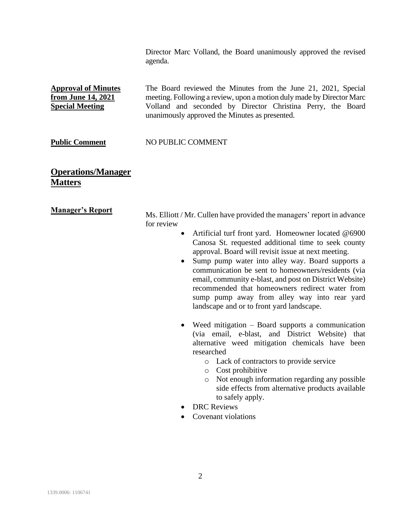Director Marc Volland, the Board unanimously approved the revised agenda.

**Approval of Minutes from June 14, 2021 Special Meeting** The Board reviewed the Minutes from the June 21, 2021, Special meeting. Following a review, upon a motion duly made by Director Marc Volland and seconded by Director Christina Perry, the Board unanimously approved the Minutes as presented.

## **Public Comment MO PUBLIC COMMENT**

**Operations/Manager Matters**

**Manager's Report** Ms. Elliott / Mr. Cullen have provided the managers' report in advance for review

- Artificial turf front yard. Homeowner located @6900 Canosa St. requested additional time to seek county approval. Board will revisit issue at next meeting.
- Sump pump water into alley way. Board supports a communication be sent to homeowners/residents (via email, community e-blast, and post on District Website) recommended that homeowners redirect water from sump pump away from alley way into rear yard landscape and or to front yard landscape.
- Weed mitigation Board supports a communication (via email, e-blast, and District Website) that alternative weed mitigation chemicals have been researched
	- o Lack of contractors to provide service
	- o Cost prohibitive
	- o Not enough information regarding any possible side effects from alternative products available to safely apply.
- DRC Reviews
- Covenant violations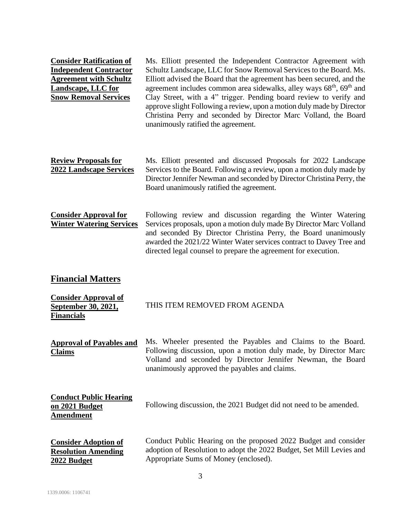| <b>Consider Ratification of</b><br><b>Independent Contractor</b><br><b>Agreement with Schultz</b><br><b>Landscape, LLC for</b><br><b>Snow Removal Services</b> | Ms. Elliott presented the Independent Contractor Agreement with<br>Schultz Landscape, LLC for Snow Removal Services to the Board. Ms.<br>Elliott advised the Board that the agreement has been secured, and the<br>agreement includes common area sidewalks, alley ways 68 <sup>th</sup> , 69 <sup>th</sup> and<br>Clay Street, with a 4" trigger. Pending board review to verify and<br>approve slight Following a review, upon a motion duly made by Director<br>Christina Perry and seconded by Director Marc Volland, the Board<br>unanimously ratified the agreement. |
|----------------------------------------------------------------------------------------------------------------------------------------------------------------|----------------------------------------------------------------------------------------------------------------------------------------------------------------------------------------------------------------------------------------------------------------------------------------------------------------------------------------------------------------------------------------------------------------------------------------------------------------------------------------------------------------------------------------------------------------------------|
| <b>Review Proposals for</b><br><b>2022 Landscape Services</b>                                                                                                  | Ms. Elliott presented and discussed Proposals for 2022 Landscape<br>Services to the Board. Following a review, upon a motion duly made by<br>Director Jennifer Newman and seconded by Director Christina Perry, the<br>Board unanimously ratified the agreement.                                                                                                                                                                                                                                                                                                           |
| <b>Consider Approval for</b><br><b>Winter Watering Services</b>                                                                                                | Following review and discussion regarding the Winter Watering<br>Services proposals, upon a motion duly made By Director Marc Volland<br>and seconded By Director Christina Perry, the Board unanimously<br>awarded the 2021/22 Winter Water services contract to Davey Tree and<br>directed legal counsel to prepare the agreement for execution.                                                                                                                                                                                                                         |
| <b>Financial Matters</b>                                                                                                                                       |                                                                                                                                                                                                                                                                                                                                                                                                                                                                                                                                                                            |
| <b>Consider Approval of</b><br>September 30, 2021,<br><b>Financials</b>                                                                                        | THIS ITEM REMOVED FROM AGENDA                                                                                                                                                                                                                                                                                                                                                                                                                                                                                                                                              |
| <b>Approval of Payables and</b><br><b>Claims</b>                                                                                                               | Ms. Wheeler presented the Payables and Claims to the Board.<br>Following discussion, upon a motion duly made, by Director Marc<br>Volland and seconded by Director Jennifer Newman, the Board<br>unanimously approved the payables and claims.                                                                                                                                                                                                                                                                                                                             |
| <b>Conduct Public Hearing</b><br>on 2021 Budget<br><b>Amendment</b>                                                                                            | Following discussion, the 2021 Budget did not need to be amended.                                                                                                                                                                                                                                                                                                                                                                                                                                                                                                          |
| <b>Consider Adoption of</b><br><b>Resolution Amending</b><br>2022 Budget                                                                                       | Conduct Public Hearing on the proposed 2022 Budget and consider<br>adoption of Resolution to adopt the 2022 Budget, Set Mill Levies and<br>Appropriate Sums of Money (enclosed).                                                                                                                                                                                                                                                                                                                                                                                           |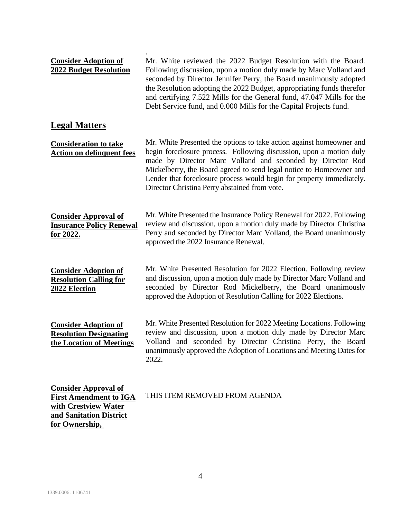| <b>Consider Adoption of</b><br><b>2022 Budget Resolution</b>                                                                      | Mr. White reviewed the 2022 Budget Resolution with the Board.<br>Following discussion, upon a motion duly made by Marc Volland and<br>seconded by Director Jennifer Perry, the Board unanimously adopted<br>the Resolution adopting the 2022 Budget, appropriating funds therefor<br>and certifying 7.522 Mills for the General fund, 47.047 Mills for the<br>Debt Service fund, and 0.000 Mills for the Capital Projects fund. |
|-----------------------------------------------------------------------------------------------------------------------------------|---------------------------------------------------------------------------------------------------------------------------------------------------------------------------------------------------------------------------------------------------------------------------------------------------------------------------------------------------------------------------------------------------------------------------------|
| <b>Legal Matters</b>                                                                                                              |                                                                                                                                                                                                                                                                                                                                                                                                                                 |
| <b>Consideration to take</b><br><b>Action on delinquent fees</b>                                                                  | Mr. White Presented the options to take action against homeowner and<br>begin foreclosure process. Following discussion, upon a motion duly<br>made by Director Marc Volland and seconded by Director Rod<br>Mickelberry, the Board agreed to send legal notice to Homeowner and<br>Lender that foreclosure process would begin for property immediately.<br>Director Christina Perry abstained from vote.                      |
| <b>Consider Approval of</b><br><b>Insurance Policy Renewal</b><br><u>for 2022.</u>                                                | Mr. White Presented the Insurance Policy Renewal for 2022. Following<br>review and discussion, upon a motion duly made by Director Christina<br>Perry and seconded by Director Marc Volland, the Board unanimously<br>approved the 2022 Insurance Renewal.                                                                                                                                                                      |
| <b>Consider Adoption of</b><br><b>Resolution Calling for</b><br>2022 Election                                                     | Mr. White Presented Resolution for 2022 Election. Following review<br>and discussion, upon a motion duly made by Director Marc Volland and<br>seconded by Director Rod Mickelberry, the Board unanimously<br>approved the Adoption of Resolution Calling for 2022 Elections.                                                                                                                                                    |
| <b>Consider Adoption of</b><br><b>Resolution Designating</b><br>the Location of Meetings                                          | Mr. White Presented Resolution for 2022 Meeting Locations. Following<br>review and discussion, upon a motion duly made by Director Marc<br>Volland and seconded by Director Christina Perry, the Board<br>unanimously approved the Adoption of Locations and Meeting Dates for<br>2022.                                                                                                                                         |
| <b>Consider Approval of</b><br><b>First Amendment to IGA</b><br>with Crestview Water<br>and Sanitation District<br>for Ownership, | THIS ITEM REMOVED FROM AGENDA                                                                                                                                                                                                                                                                                                                                                                                                   |